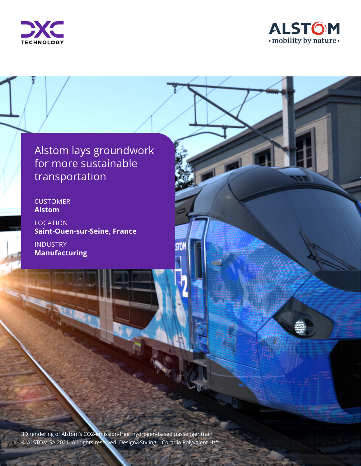



Alstom lays groundwork for more sustainable transportation

#### CUSTOMER **Alstom**

LOCATION **Saint-Ouen-sur-Seine, France** 

INDUSTRY **Manufacturing**

3D rendering of Alstom's CO2‑emission-free, hydrogen-based passenger train © ALSTOM SA 2021. All rights reserved. Design&Styling | Coradia Polyvalent Hz™

**PLACE IMAGE HERE**

0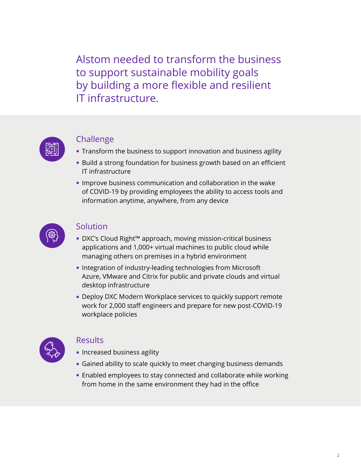Alstom needed to transform the business to support sustainable mobility goals by building a more flexible and resilient IT infrastructure.



#### Challenge

- **Transform the business to support innovation and business agility**
- **Build a strong foundation for business growth based on an efficient** IT infrastructure
- **IMPROVE business communication and collaboration in the wake** of COVID-19 by providing employees the ability to access tools and information anytime, anywhere, from any device



#### Solution

- DXC's Cloud Right™ approach, moving mission-critical business applications and 1,000+ virtual machines to public cloud while managing others on premises in a hybrid environment
- **EXTERGHIST Integration of industry-leading technologies from Microsoft** Azure, VMware and Citrix for public and private clouds and virtual desktop infrastructure
- **Deploy DXC Modern Workplace services to quickly support remote** work for 2,000 staff engineers and prepare for new post-COVID-19 workplace policies



#### **Results**

- **-** Increased business agility
- **Gained ability to scale quickly to meet changing business demands**
- **Enabled employees to stay connected and collaborate while working** from home in the same environment they had in the office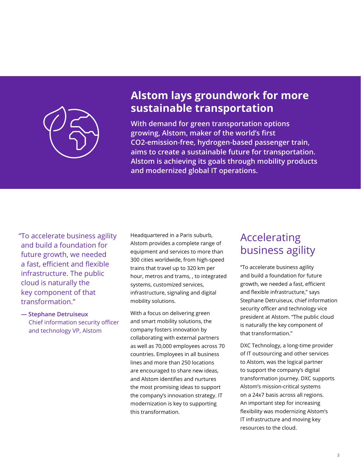

### **Alstom lays groundwork for more sustainable transportation**

**With demand for green transportation options growing, Alstom, maker of the world's first CO2‑emission-free, hydrogen-based passenger train, aims to create a sustainable future for transportation. Alstom is achieving its goals through mobility products and modernized global IT operations.** 

"To accelerate business agility and build a foundation for future growth, we needed a fast, efficient and flexible infrastructure. The public cloud is naturally the key component of that transformation."

**— Stephane Detruiseux** Chief information security officer and technology VP, Alstom

Headquartered in a Paris suburb, Alstom provides a complete range of equipment and services to more than 300 cities worldwide, from high-speed trains that travel up to 320 km per hour, metros and trams, , to integrated systems, customized services, infrastructure, signaling and digital mobility solutions.

With a focus on delivering green and smart mobility solutions, the company fosters innovation by collaborating with external partners as well as 70,000 employees across 70 countries. Employees in all business lines and more than 250 locations are encouraged to share new ideas, and Alstom identifies and nurtures the most promising ideas to support the company's innovation strategy. IT modernization is key to supporting this transformation.

# Accelerating business agility

"To accelerate business agility and build a foundation for future growth, we needed a fast, efficient and flexible infrastructure," says Stephane Detruiseux, chief information security officer and technology vice president at Alstom. "The public cloud is naturally the key component of that transformation."

DXC Technology, a long-time provider of IT outsourcing and other services to Alstom, was the logical partner to support the company's digital transformation journey. DXC supports Alstom's mission-critical systems on a 24x7 basis across all regions. An important step for increasing flexibility was modernizing Alstom's IT infrastructure and moving key resources to the cloud.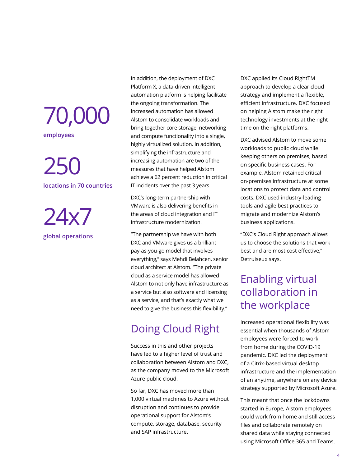70,000 **employees**

250 **locations in 70 countries**

24x7 **global operations** In addition, the deployment of DXC Platform X, a data-driven intelligent automation platform is helping facilitate the ongoing transformation. The increased automation has allowed Alstom to consolidate workloads and bring together core storage, networking and compute functionality into a single, highly virtualized solution. In addition, simplifying the infrastructure and increasing automation are two of the measures that have helped Alstom achieve a 62 percent reduction in critical IT incidents over the past 3 years.

DXC's long-term partnership with VMware is also delivering benefits in the areas of cloud integration and IT infrastructure modernization.

"The partnership we have with both DXC and VMware gives us a brilliant pay‑as‑you-go model that involves everything," says Mehdi Belahcen, senior cloud architect at Alstom. "The private cloud as a service model has allowed Alstom to not only have infrastructure as a service but also software and licensing as a service, and that's exactly what we need to give the business this flexibility."

## Doing Cloud Right

Success in this and other projects have led to a higher level of trust and collaboration between Alstom and DXC, as the company moved to the Microsoft Azure public cloud.

So far, DXC has moved more than 1,000 virtual machines to Azure without disruption and continues to provide operational support for Alstom's compute, storage, database, security and SAP infrastructure.

DXC applied its Cloud RightTM approach to develop a clear cloud strategy and implement a flexible, efficient infrastructure. DXC focused on helping Alstom make the right technology investments at the right time on the right platforms.

DXC advised Alstom to move some workloads to public cloud while keeping others on premises, based on specific business cases. For example, Alstom retained critical on-premises infrastructure at some locations to protect data and control costs. DXC used industry-leading tools and agile best practices to migrate and modernize Alstom's business applications.

"DXC's Cloud Right approach allows us to choose the solutions that work best and are most cost effective," Detruiseux says.

# Enabling virtual collaboration in the workplace

Increased operational flexibility was essential when thousands of Alstom employees were forced to work from home during the COVID-19 pandemic. DXC led the deployment of a Citrix‑based virtual desktop infrastructure and the implementation of an anytime, anywhere on any device strategy supported by Microsoft Azure.

This meant that once the lockdowns started in Europe, Alstom employees could work from home and still access files and collaborate remotely on shared data while staying connected using Microsoft Office 365 and Teams.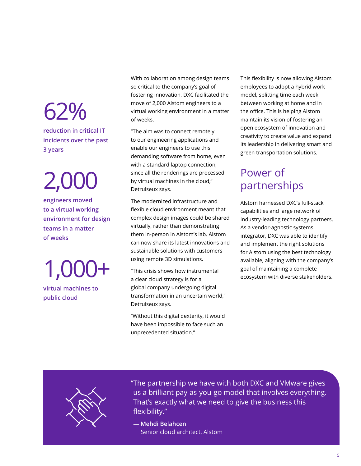62% **reduction in critical IT incidents over the past** 

2,000

**3 years**

**engineers moved to a virtual working environment for design teams in a matter of weeks**

1,00

**virtual machines to public cloud**

With collaboration among design teams so critical to the company's goal of fostering innovation, DXC facilitated the move of 2,000 Alstom engineers to a virtual working environment in a matter of weeks.

"The aim was to connect remotely to our engineering applications and enable our engineers to use this demanding software from home, even with a standard laptop connection, since all the renderings are processed by virtual machines in the cloud," Detruiseux says.

The modernized infrastructure and flexible cloud environment meant that complex design images could be shared virtually, rather than demonstrating them in-person in Alstom's lab. Alstom can now share its latest innovations and sustainable solutions with customers using remote 3D simulations.

"This crisis shows how instrumental a clear cloud strategy is for a global company undergoing digital transformation in an uncertain world," Detruiseux says.

"Without this digital dexterity, it would have been impossible to face such an unprecedented situation."

This flexibility is now allowing Alstom employees to adopt a hybrid work model, splitting time each week between working at home and in the office. This is helping Alstom maintain its vision of fostering an open ecosystem of innovation and creativity to create value and expand its leadership in delivering smart and green transportation solutions.

# Power of partnerships

Alstom harnessed DXC's full-stack capabilities and large network of industry-leading technology partners. As a vendor-agnostic systems integrator, DXC was able to identify and implement the right solutions for Alstom using the best technology available, aligning with the company's goal of maintaining a complete ecosystem with diverse stakeholders.



"The partnership we have with both DXC and VMware gives us a brilliant pay-as-you-go model that involves everything. That's exactly what we need to give the business this flexibility."

**— Mehdi Belahcen** Senior cloud architect, Alstom